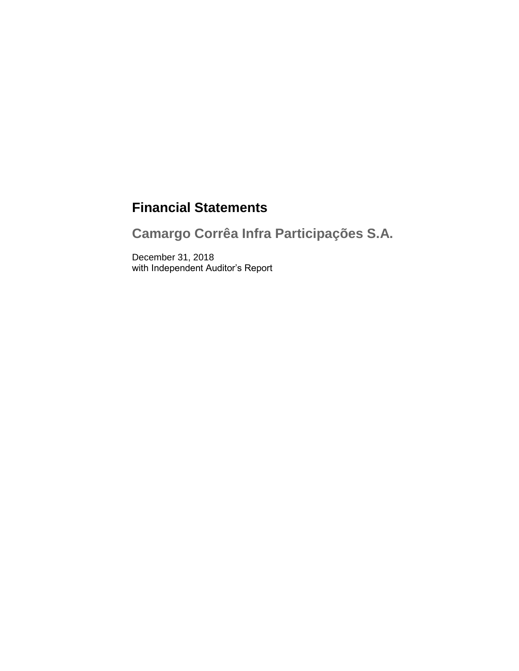# **Financial Statements**

**Camargo Corrêa Infra Participações S.A.**

December 31, 2018 with Independent Auditor's Report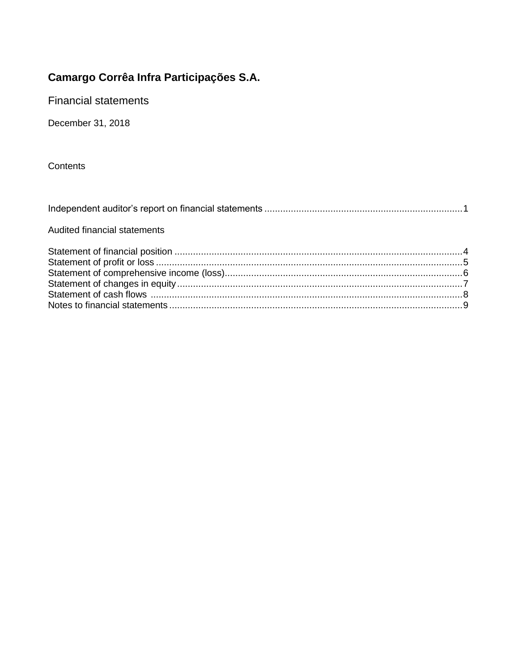**Financial statements** 

December 31, 2018

Contents

| Audited financial statements |  |
|------------------------------|--|
|                              |  |
|                              |  |
|                              |  |
|                              |  |
|                              |  |
|                              |  |
|                              |  |
|                              |  |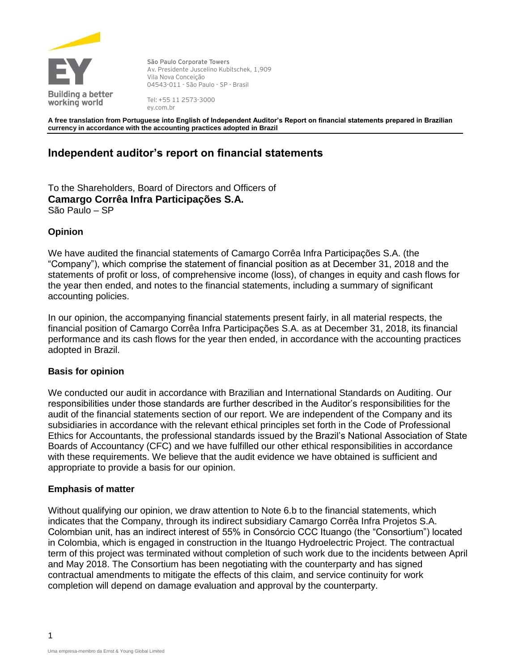

**São Paulo Corporate Towers** Av. Presidente Juscelino Kubitschek, 1,909 Vila Nova Conceição 04543-011 - São Paulo - SP - Brasil

Tel: +55 11 2573-3000 ey.com.br

**A free translation from Portuguese into English of Independent Auditor's Report on financial statements prepared in Brazilian currency in accordance with the accounting practices adopted in Brazil**

## **Independent auditor's report on financial statements**

To the Shareholders, Board of Directors and Officers of **Camargo Corrêa Infra Participações S.A.** São Paulo – SP

#### **Opinion**

We have audited the financial statements of Camargo Corrêa Infra Participações S.A. (the "Company"), which comprise the statement of financial position as at December 31, 2018 and the statements of profit or loss, of comprehensive income (loss), of changes in equity and cash flows for the year then ended, and notes to the financial statements, including a summary of significant accounting policies.

In our opinion, the accompanying financial statements present fairly, in all material respects, the financial position of Camargo Corrêa Infra Participações S.A. as at December 31, 2018, its financial performance and its cash flows for the year then ended, in accordance with the accounting practices adopted in Brazil.

#### **Basis for opinion**

We conducted our audit in accordance with Brazilian and International Standards on Auditing. Our responsibilities under those standards are further described in the Auditor's responsibilities for the audit of the financial statements section of our report. We are independent of the Company and its subsidiaries in accordance with the relevant ethical principles set forth in the Code of Professional Ethics for Accountants, the professional standards issued by the Brazil's National Association of State Boards of Accountancy (CFC) and we have fulfilled our other ethical responsibilities in accordance with these requirements. We believe that the audit evidence we have obtained is sufficient and appropriate to provide a basis for our opinion.

#### **Emphasis of matter**

Without qualifying our opinion, we draw attention to Note 6.b to the financial statements, which indicates that the Company, through its indirect subsidiary Camargo Corrêa Infra Projetos S.A. Colombian unit, has an indirect interest of 55% in Consórcio CCC Ituango (the "Consortium") located in Colombia, which is engaged in construction in the Ituango Hydroelectric Project. The contractual term of this project was terminated without completion of such work due to the incidents between April and May 2018. The Consortium has been negotiating with the counterparty and has signed contractual amendments to mitigate the effects of this claim, and service continuity for work completion will depend on damage evaluation and approval by the counterparty.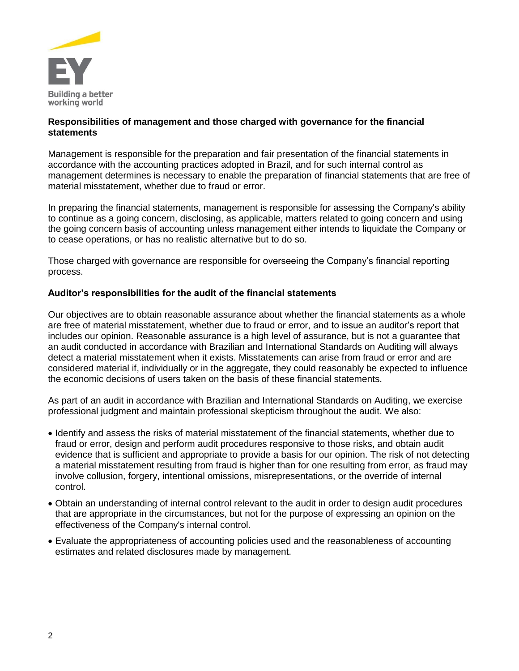

#### **Responsibilities of management and those charged with governance for the financial statements**

Management is responsible for the preparation and fair presentation of the financial statements in accordance with the accounting practices adopted in Brazil, and for such internal control as management determines is necessary to enable the preparation of financial statements that are free of material misstatement, whether due to fraud or error.

In preparing the financial statements, management is responsible for assessing the Company's ability to continue as a going concern, disclosing, as applicable, matters related to going concern and using the going concern basis of accounting unless management either intends to liquidate the Company or to cease operations, or has no realistic alternative but to do so.

Those charged with governance are responsible for overseeing the Company's financial reporting process.

#### **Auditor's responsibilities for the audit of the financial statements**

Our objectives are to obtain reasonable assurance about whether the financial statements as a whole are free of material misstatement, whether due to fraud or error, and to issue an auditor's report that includes our opinion. Reasonable assurance is a high level of assurance, but is not a guarantee that an audit conducted in accordance with Brazilian and International Standards on Auditing will always detect a material misstatement when it exists. Misstatements can arise from fraud or error and are considered material if, individually or in the aggregate, they could reasonably be expected to influence the economic decisions of users taken on the basis of these financial statements.

As part of an audit in accordance with Brazilian and International Standards on Auditing, we exercise professional judgment and maintain professional skepticism throughout the audit. We also:

- Identify and assess the risks of material misstatement of the financial statements, whether due to fraud or error, design and perform audit procedures responsive to those risks, and obtain audit evidence that is sufficient and appropriate to provide a basis for our opinion. The risk of not detecting a material misstatement resulting from fraud is higher than for one resulting from error, as fraud may involve collusion, forgery, intentional omissions, misrepresentations, or the override of internal control.
- Obtain an understanding of internal control relevant to the audit in order to design audit procedures that are appropriate in the circumstances, but not for the purpose of expressing an opinion on the effectiveness of the Company's internal control.
- Evaluate the appropriateness of accounting policies used and the reasonableness of accounting estimates and related disclosures made by management.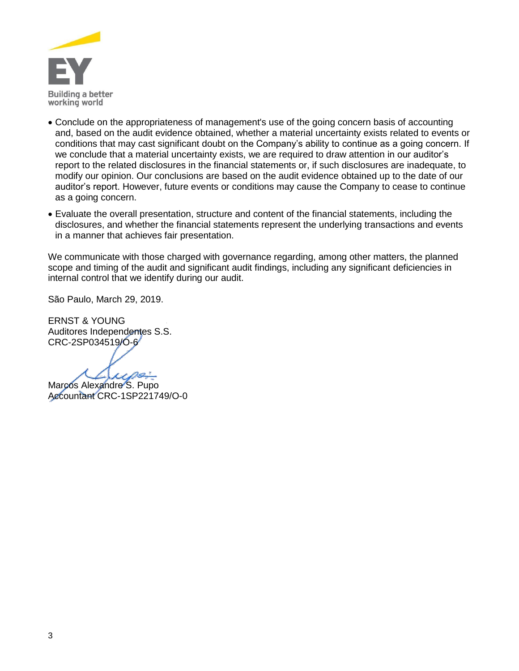

- Conclude on the appropriateness of management's use of the going concern basis of accounting and, based on the audit evidence obtained, whether a material uncertainty exists related to events or conditions that may cast significant doubt on the Company's ability to continue as a going concern. If we conclude that a material uncertainty exists, we are required to draw attention in our auditor's report to the related disclosures in the financial statements or, if such disclosures are inadequate, to modify our opinion. Our conclusions are based on the audit evidence obtained up to the date of our auditor's report. However, future events or conditions may cause the Company to cease to continue as a going concern.
- Evaluate the overall presentation, structure and content of the financial statements, including the disclosures, and whether the financial statements represent the underlying transactions and events in a manner that achieves fair presentation.

We communicate with those charged with governance regarding, among other matters, the planned scope and timing of the audit and significant audit findings, including any significant deficiencies in internal control that we identify during our audit.

São Paulo, March 29, 2019.

ERNST & YOUNG Auditores Independentes S.S. CRC-2SP034519/O-6

 $\mu$ 

Marcos Alexandre S. Pupo Accountant CRC-1SP221749/O-0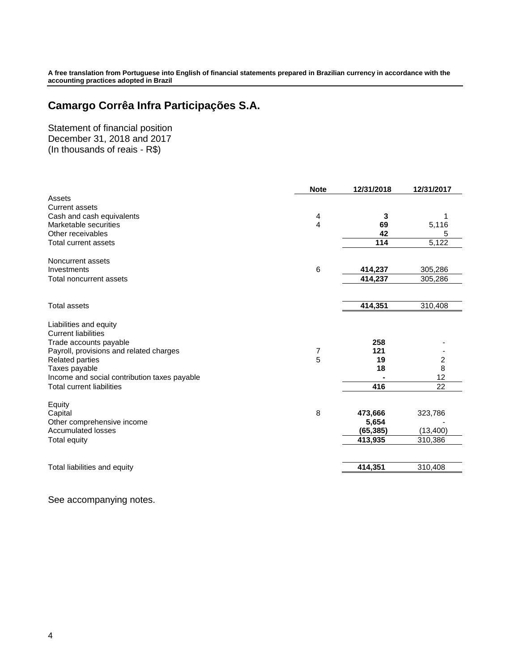**A free translation from Portuguese into English of financial statements prepared in Brazilian currency in accordance with the accounting practices adopted in Brazil**

# **Camargo Corrêa Infra Participações S.A.**

Statement of financial position December 31, 2018 and 2017 (In thousands of reais - R\$)

|                                              | <b>Note</b> | 12/31/2018       | 12/31/2017 |
|----------------------------------------------|-------------|------------------|------------|
| Assets                                       |             |                  |            |
| <b>Current assets</b>                        |             |                  |            |
| Cash and cash equivalents                    | 4           | 3                | 1          |
| Marketable securities                        | 4           | 69               | 5,116      |
| Other receivables                            |             | 42               | 5          |
| <b>Total current assets</b>                  |             | 114              | 5,122      |
|                                              |             |                  |            |
| Noncurrent assets<br>Investments             |             |                  |            |
|                                              | 6           | 414,237          | 305,286    |
| Total noncurrent assets                      |             | 414,237          | 305,286    |
|                                              |             |                  |            |
| <b>Total assets</b>                          |             | 414,351          | 310,408    |
|                                              |             |                  |            |
| Liabilities and equity                       |             |                  |            |
| <b>Current liabilities</b>                   |             |                  |            |
| Trade accounts payable                       |             | 258              |            |
| Payroll, provisions and related charges      | 7           | 121              |            |
| <b>Related parties</b>                       | 5           | 19               | 2          |
| Taxes payable                                |             | 18               | 8          |
| Income and social contribution taxes payable |             |                  | 12         |
| <b>Total current liabilities</b>             |             | 416              | 22         |
|                                              |             |                  |            |
| Equity                                       | 8           |                  |            |
| Capital<br>Other comprehensive income        |             | 473,666<br>5,654 | 323,786    |
| <b>Accumulated losses</b>                    |             | (65, 385)        | (13, 400)  |
| <b>Total equity</b>                          |             | 413,935          | 310,386    |
|                                              |             |                  |            |
|                                              |             |                  |            |
| Total liabilities and equity                 |             | 414,351          | 310,408    |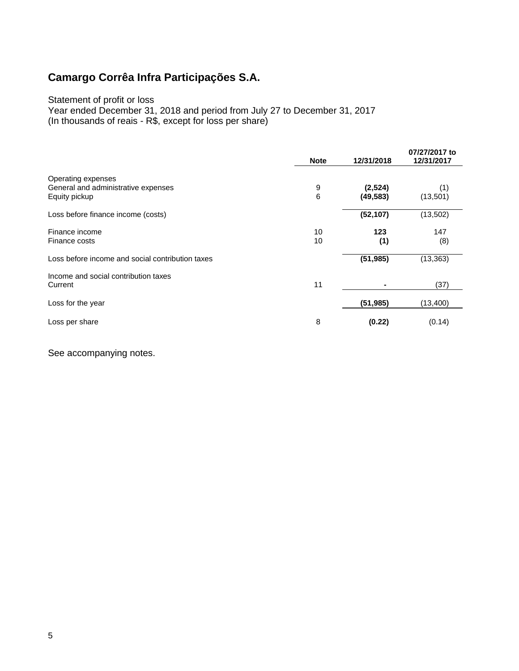### Statement of profit or loss

Year ended December 31, 2018 and period from July 27 to December 31, 2017

(In thousands of reais - R\$, except for loss per share)

|                                                                            | <b>Note</b> | 12/31/2018           | 07/27/2017 to<br>12/31/2017 |
|----------------------------------------------------------------------------|-------------|----------------------|-----------------------------|
| Operating expenses<br>General and administrative expenses<br>Equity pickup | 9<br>6      | (2,524)<br>(49, 583) | (1)<br>(13,501)             |
| Loss before finance income (costs)                                         |             | (52, 107)            | (13,502)                    |
| Finance income<br>Finance costs                                            | 10<br>10    | 123<br>(1)           | 147<br>(8)                  |
| Loss before income and social contribution taxes                           |             | (51, 985)            | (13, 363)                   |
| Income and social contribution taxes<br>Current                            | 11          |                      | (37)                        |
| Loss for the year                                                          |             | (51, 985)            | (13,400)                    |
| Loss per share                                                             | 8           | (0.22)               | (0.14)                      |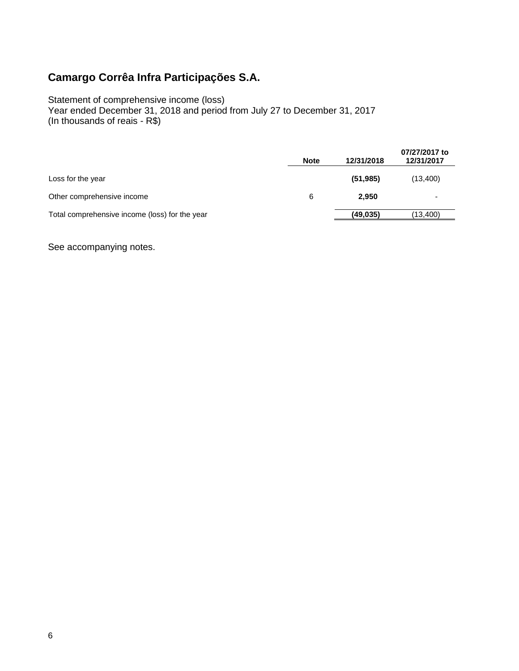#### Statement of comprehensive income (loss)

Year ended December 31, 2018 and period from July 27 to December 31, 2017 (In thousands of reais - R\$)

|                                                | <b>Note</b> | 12/31/2018 | 07/27/2017 to<br>12/31/2017 |
|------------------------------------------------|-------------|------------|-----------------------------|
| Loss for the year                              |             | (51, 985)  | (13,400)                    |
| Other comprehensive income                     | 6           | 2.950      | $\overline{\phantom{0}}$    |
| Total comprehensive income (loss) for the year |             | (49, 035)  | (13,400)                    |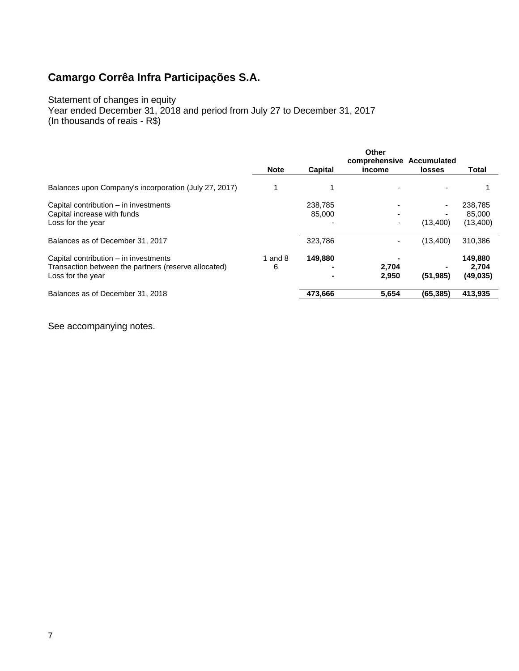#### Statement of changes in equity

Year ended December 31, 2018 and period from July 27 to December 31, 2017 (In thousands of reais - R\$)

|                                                       | <b>Note</b> | Capital | Other<br>comprehensive Accumulated<br>income |           |           |
|-------------------------------------------------------|-------------|---------|----------------------------------------------|-----------|-----------|
|                                                       |             |         |                                              | losses    | Total     |
| Balances upon Company's incorporation (July 27, 2017) |             |         |                                              |           |           |
| Capital contribution – in investments                 |             | 238,785 |                                              |           | 238,785   |
| Capital increase with funds                           |             | 85,000  |                                              |           | 85,000    |
| Loss for the year                                     |             |         |                                              | (13,400)  | (13, 400) |
| Balances as of December 31, 2017                      |             | 323.786 |                                              | (13.400)  | 310.386   |
| Capital contribution – in investments                 | 1 and $8$   | 149.880 |                                              |           | 149,880   |
| Transaction between the partners (reserve allocated)  | 6           |         | 2,704                                        |           | 2.704     |
| Loss for the year                                     |             |         | 2,950                                        | (51, 985) | (49, 035) |
| Balances as of December 31, 2018                      |             | 473.666 | 5.654                                        | (65.385)  | 413.935   |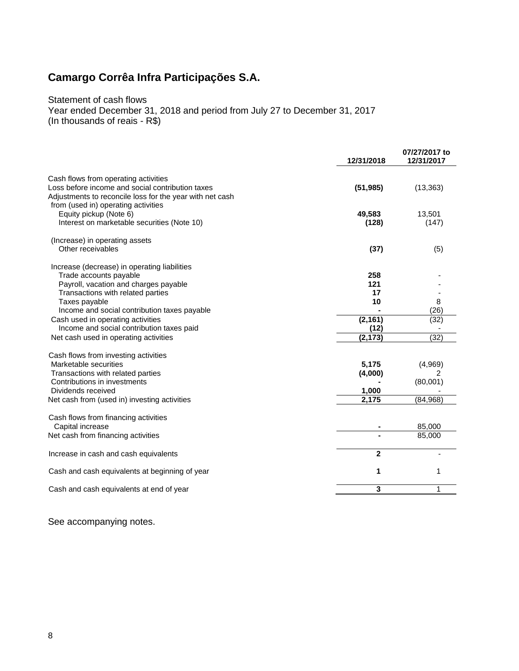#### Statement of cash flows

Year ended December 31, 2018 and period from July 27 to December 31, 2017 (In thousands of reais - R\$)

|                                                                                                              | 12/31/2018   | 07/27/2017 to<br>12/31/2017 |
|--------------------------------------------------------------------------------------------------------------|--------------|-----------------------------|
| Cash flows from operating activities                                                                         |              |                             |
| Loss before income and social contribution taxes<br>Adjustments to reconcile loss for the year with net cash | (51, 985)    | (13, 363)                   |
| from (used in) operating activities                                                                          |              |                             |
| Equity pickup (Note 6)                                                                                       | 49,583       | 13,501                      |
| Interest on marketable securities (Note 10)                                                                  | (128)        | (147)                       |
| (Increase) in operating assets                                                                               |              |                             |
| Other receivables                                                                                            | (37)         | (5)                         |
|                                                                                                              |              |                             |
| Increase (decrease) in operating liabilities                                                                 |              |                             |
| Trade accounts payable                                                                                       | 258          |                             |
| Payroll, vacation and charges payable                                                                        | 121          |                             |
| Transactions with related parties                                                                            | 17           |                             |
| Taxes payable                                                                                                | 10           | 8                           |
| Income and social contribution taxes payable                                                                 |              | (26)                        |
| Cash used in operating activities                                                                            | (2, 161)     | (32)                        |
| Income and social contribution taxes paid                                                                    | (12)         |                             |
| Net cash used in operating activities                                                                        | (2, 173)     | (32)                        |
| Cash flows from investing activities                                                                         |              |                             |
| Marketable securities                                                                                        | 5,175        | (4,969)                     |
| Transactions with related parties                                                                            | (4,000)      | 2                           |
| Contributions in investments                                                                                 |              | (80,001)                    |
| Dividends received                                                                                           | 1,000        |                             |
| Net cash from (used in) investing activities                                                                 | 2,175        | (84,968)                    |
|                                                                                                              |              |                             |
| Cash flows from financing activities                                                                         |              |                             |
| Capital increase                                                                                             |              | 85,000                      |
| Net cash from financing activities                                                                           |              | 85,000                      |
| Increase in cash and cash equivalents                                                                        | $\mathbf{2}$ |                             |
| Cash and cash equivalents at beginning of year                                                               | 1            | 1                           |
| Cash and cash equivalents at end of year                                                                     | $\mathbf{3}$ | 1                           |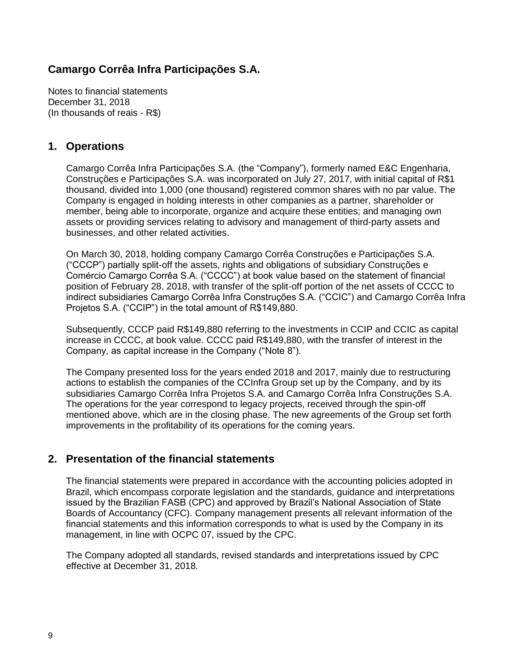Notes to financial statements December 31, 2018 (In thousands of reais - R\$)

### **1. Operations**

Camargo Corrêa Infra Participações S.A. (the "Company"), formerly named E&C Engenharia, Construções e Participações S.A. was incorporated on July 27, 2017, with initial capital of R\$1 thousand, divided into 1,000 (one thousand) registered common shares with no par value. The Company is engaged in holding interests in other companies as a partner, shareholder or member, being able to incorporate, organize and acquire these entities; and managing own assets or providing services relating to advisory and management of third-party assets and businesses, and other related activities.

On March 30, 2018, holding company Camargo Corrêa Construções e Participações S.A. ("CCCP") partially split-off the assets, rights and obligations of subsidiary Construções e Comércio Camargo Corrêa S.A. ("CCCC") at book value based on the statement of financial position of February 28, 2018, with transfer of the split-off portion of the net assets of CCCC to indirect subsidiaries Camargo Corrêa Infra Construções S.A. ("CCIC") and Camargo Corrêa Infra Projetos S.A. ("CCIP") in the total amount of R\$149,880.

Subsequently, CCCP paid R\$149,880 referring to the investments in CCIP and CCIC as capital increase in CCCC, at book value. CCCC paid R\$149,880, with the transfer of interest in the Company, as capital increase in the Company ("Note 8").

The Company presented loss for the years ended 2018 and 2017, mainly due to restructuring actions to establish the companies of the CCInfra Group set up by the Company, and by its subsidiaries Camargo Corrêa Infra Projetos S.A. and Camargo Corrêa Infra Construções S.A. The operations for the year correspond to legacy projects, received through the spin-off mentioned above, which are in the closing phase. The new agreements of the Group set forth improvements in the profitability of its operations for the coming years.

### **2. Presentation of the financial statements**

The financial statements were prepared in accordance with the accounting policies adopted in Brazil, which encompass corporate legislation and the standards, guidance and interpretations issued by the Brazilian FASB (CPC) and approved by Brazil's National Association of State Boards of Accountancy (CFC). Company management presents all relevant information of the financial statements and this information corresponds to what is used by the Company in its management, in line with OCPC 07, issued by the CPC.

The Company adopted all standards, revised standards and interpretations issued by CPC effective at December 31, 2018.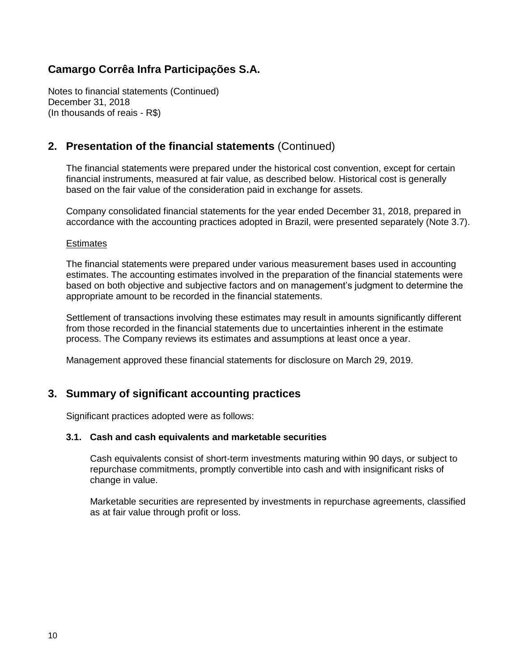Notes to financial statements (Continued) December 31, 2018 (In thousands of reais - R\$)

### **2. Presentation of the financial statements** (Continued)

The financial statements were prepared under the historical cost convention, except for certain financial instruments, measured at fair value, as described below. Historical cost is generally based on the fair value of the consideration paid in exchange for assets.

Company consolidated financial statements for the year ended December 31, 2018, prepared in accordance with the accounting practices adopted in Brazil, were presented separately (Note 3.7).

#### **Estimates**

The financial statements were prepared under various measurement bases used in accounting estimates. The accounting estimates involved in the preparation of the financial statements were based on both objective and subjective factors and on management's judgment to determine the appropriate amount to be recorded in the financial statements.

Settlement of transactions involving these estimates may result in amounts significantly different from those recorded in the financial statements due to uncertainties inherent in the estimate process. The Company reviews its estimates and assumptions at least once a year.

Management approved these financial statements for disclosure on March 29, 2019.

### **3. Summary of significant accounting practices**

Significant practices adopted were as follows:

#### **3.1. Cash and cash equivalents and marketable securities**

Cash equivalents consist of short-term investments maturing within 90 days, or subject to repurchase commitments, promptly convertible into cash and with insignificant risks of change in value.

Marketable securities are represented by investments in repurchase agreements, classified as at fair value through profit or loss.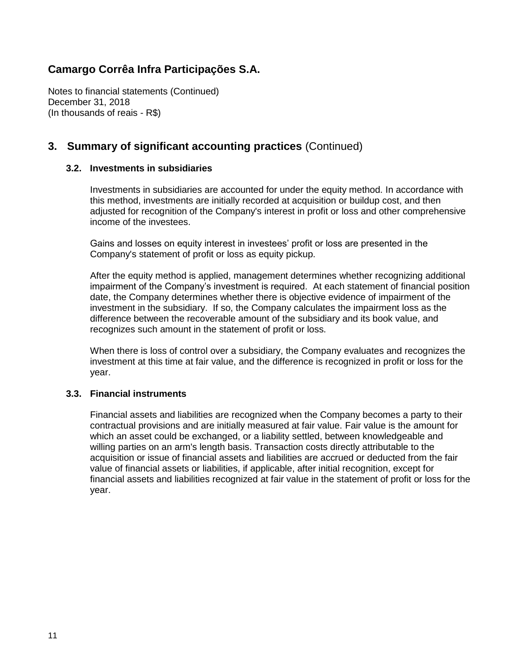Notes to financial statements (Continued) December 31, 2018 (In thousands of reais - R\$)

### **3. Summary of significant accounting practices** (Continued)

#### **3.2. Investments in subsidiaries**

Investments in subsidiaries are accounted for under the equity method. In accordance with this method, investments are initially recorded at acquisition or buildup cost, and then adjusted for recognition of the Company's interest in profit or loss and other comprehensive income of the investees.

Gains and losses on equity interest in investees' profit or loss are presented in the Company's statement of profit or loss as equity pickup.

After the equity method is applied, management determines whether recognizing additional impairment of the Company's investment is required. At each statement of financial position date, the Company determines whether there is objective evidence of impairment of the investment in the subsidiary. If so, the Company calculates the impairment loss as the difference between the recoverable amount of the subsidiary and its book value, and recognizes such amount in the statement of profit or loss.

When there is loss of control over a subsidiary, the Company evaluates and recognizes the investment at this time at fair value, and the difference is recognized in profit or loss for the year.

#### **3.3. Financial instruments**

Financial assets and liabilities are recognized when the Company becomes a party to their contractual provisions and are initially measured at fair value. Fair value is the amount for which an asset could be exchanged, or a liability settled, between knowledgeable and willing parties on an arm's length basis. Transaction costs directly attributable to the acquisition or issue of financial assets and liabilities are accrued or deducted from the fair value of financial assets or liabilities, if applicable, after initial recognition, except for financial assets and liabilities recognized at fair value in the statement of profit or loss for the year.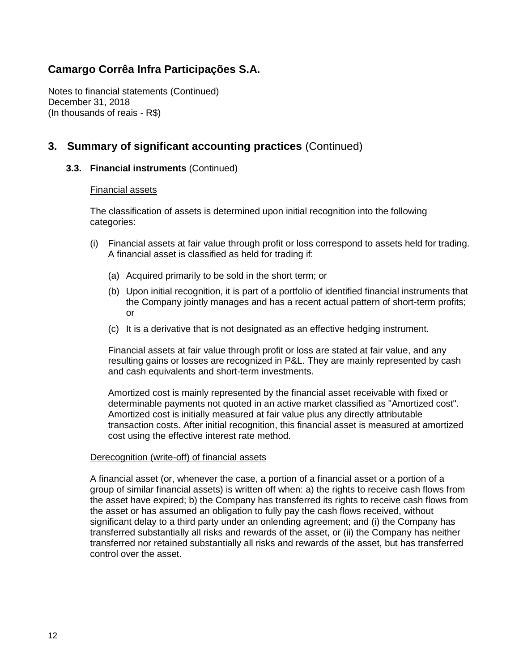Notes to financial statements (Continued) December 31, 2018 (In thousands of reais - R\$)

### **3. Summary of significant accounting practices** (Continued)

#### **3.3. Financial instruments** (Continued)

#### Financial assets

The classification of assets is determined upon initial recognition into the following categories:

- (i) Financial assets at fair value through profit or loss correspond to assets held for trading. A financial asset is classified as held for trading if:
	- (a) Acquired primarily to be sold in the short term; or
	- (b) Upon initial recognition, it is part of a portfolio of identified financial instruments that the Company jointly manages and has a recent actual pattern of short-term profits; or
	- (c) It is a derivative that is not designated as an effective hedging instrument.

Financial assets at fair value through profit or loss are stated at fair value, and any resulting gains or losses are recognized in P&L. They are mainly represented by cash and cash equivalents and short-term investments.

Amortized cost is mainly represented by the financial asset receivable with fixed or determinable payments not quoted in an active market classified as "Amortized cost". Amortized cost is initially measured at fair value plus any directly attributable transaction costs. After initial recognition, this financial asset is measured at amortized cost using the effective interest rate method.

#### Derecognition (write-off) of financial assets

A financial asset (or, whenever the case, a portion of a financial asset or a portion of a group of similar financial assets) is written off when: a) the rights to receive cash flows from the asset have expired; b) the Company has transferred its rights to receive cash flows from the asset or has assumed an obligation to fully pay the cash flows received, without significant delay to a third party under an onlending agreement; and (i) the Company has transferred substantially all risks and rewards of the asset, or (ii) the Company has neither transferred nor retained substantially all risks and rewards of the asset, but has transferred control over the asset.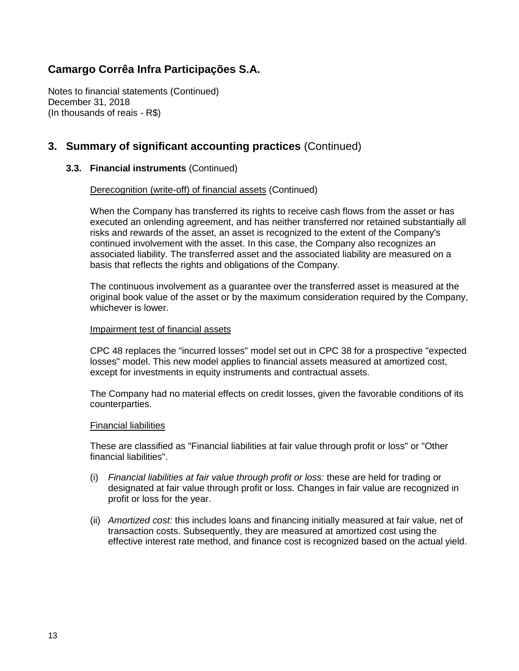Notes to financial statements (Continued) December 31, 2018 (In thousands of reais - R\$)

## **3. Summary of significant accounting practices** (Continued)

#### **3.3. Financial instruments** (Continued)

#### Derecognition (write-off) of financial assets (Continued)

When the Company has transferred its rights to receive cash flows from the asset or has executed an onlending agreement, and has neither transferred nor retained substantially all risks and rewards of the asset, an asset is recognized to the extent of the Company's continued involvement with the asset. In this case, the Company also recognizes an associated liability. The transferred asset and the associated liability are measured on a basis that reflects the rights and obligations of the Company.

The continuous involvement as a guarantee over the transferred asset is measured at the original book value of the asset or by the maximum consideration required by the Company, whichever is lower.

#### Impairment test of financial assets

CPC 48 replaces the "incurred losses" model set out in CPC 38 for a prospective "expected losses" model. This new model applies to financial assets measured at amortized cost, except for investments in equity instruments and contractual assets.

The Company had no material effects on credit losses, given the favorable conditions of its counterparties.

#### Financial liabilities

These are classified as "Financial liabilities at fair value through profit or loss" or "Other financial liabilities".

- (i) *Financial liabilities at fair value through profit or loss:* these are held for trading or designated at fair value through profit or loss. Changes in fair value are recognized in profit or loss for the year.
- (ii) *Amortized cost:* this includes loans and financing initially measured at fair value, net of transaction costs. Subsequently, they are measured at amortized cost using the effective interest rate method, and finance cost is recognized based on the actual yield.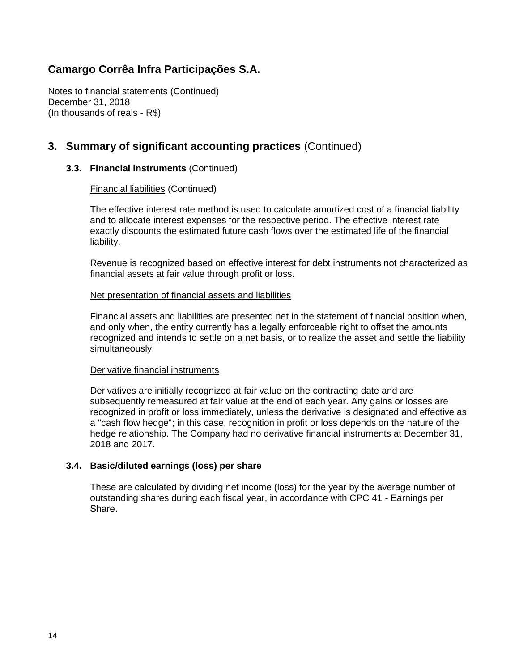Notes to financial statements (Continued) December 31, 2018 (In thousands of reais - R\$)

### **3. Summary of significant accounting practices** (Continued)

#### **3.3. Financial instruments** (Continued)

#### Financial liabilities (Continued)

The effective interest rate method is used to calculate amortized cost of a financial liability and to allocate interest expenses for the respective period. The effective interest rate exactly discounts the estimated future cash flows over the estimated life of the financial liability.

Revenue is recognized based on effective interest for debt instruments not characterized as financial assets at fair value through profit or loss.

#### Net presentation of financial assets and liabilities

Financial assets and liabilities are presented net in the statement of financial position when, and only when, the entity currently has a legally enforceable right to offset the amounts recognized and intends to settle on a net basis, or to realize the asset and settle the liability simultaneously.

#### Derivative financial instruments

Derivatives are initially recognized at fair value on the contracting date and are subsequently remeasured at fair value at the end of each year. Any gains or losses are recognized in profit or loss immediately, unless the derivative is designated and effective as a "cash flow hedge"; in this case, recognition in profit or loss depends on the nature of the hedge relationship. The Company had no derivative financial instruments at December 31, 2018 and 2017.

#### **3.4. Basic/diluted earnings (loss) per share**

These are calculated by dividing net income (loss) for the year by the average number of outstanding shares during each fiscal year, in accordance with CPC 41 - Earnings per Share.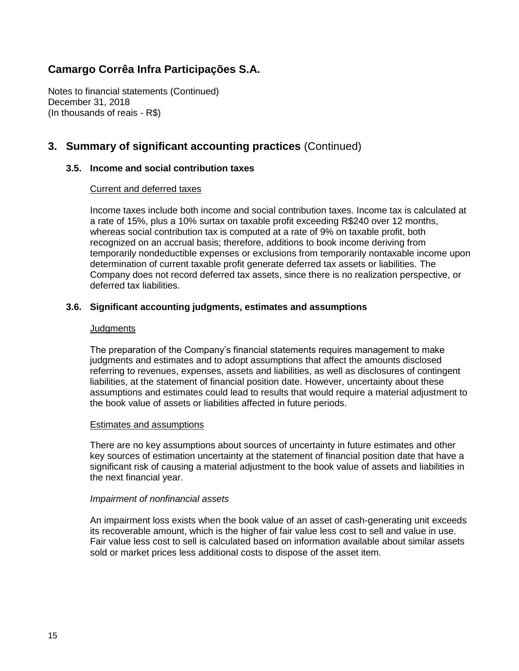Notes to financial statements (Continued) December 31, 2018 (In thousands of reais - R\$)

## **3. Summary of significant accounting practices** (Continued)

#### **3.5. Income and social contribution taxes**

#### Current and deferred taxes

Income taxes include both income and social contribution taxes. Income tax is calculated at a rate of 15%, plus a 10% surtax on taxable profit exceeding R\$240 over 12 months, whereas social contribution tax is computed at a rate of 9% on taxable profit, both recognized on an accrual basis; therefore, additions to book income deriving from temporarily nondeductible expenses or exclusions from temporarily nontaxable income upon determination of current taxable profit generate deferred tax assets or liabilities. The Company does not record deferred tax assets, since there is no realization perspective, or deferred tax liabilities.

#### **3.6. Significant accounting judgments, estimates and assumptions**

#### **Judgments**

The preparation of the Company's financial statements requires management to make judgments and estimates and to adopt assumptions that affect the amounts disclosed referring to revenues, expenses, assets and liabilities, as well as disclosures of contingent liabilities, at the statement of financial position date. However, uncertainty about these assumptions and estimates could lead to results that would require a material adjustment to the book value of assets or liabilities affected in future periods.

#### Estimates and assumptions

There are no key assumptions about sources of uncertainty in future estimates and other key sources of estimation uncertainty at the statement of financial position date that have a significant risk of causing a material adjustment to the book value of assets and liabilities in the next financial year.

#### *Impairment of nonfinancial assets*

An impairment loss exists when the book value of an asset of cash-generating unit exceeds its recoverable amount, which is the higher of fair value less cost to sell and value in use. Fair value less cost to sell is calculated based on information available about similar assets sold or market prices less additional costs to dispose of the asset item.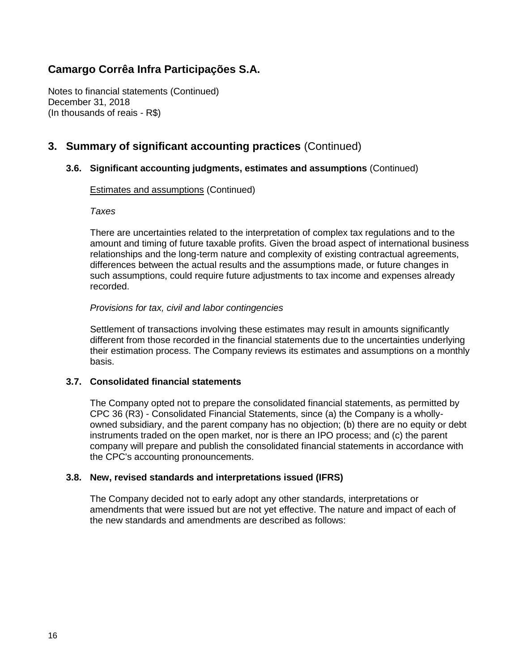Notes to financial statements (Continued) December 31, 2018 (In thousands of reais - R\$)

### **3. Summary of significant accounting practices** (Continued)

#### **3.6. Significant accounting judgments, estimates and assumptions** (Continued)

Estimates and assumptions (Continued)

*Taxes*

There are uncertainties related to the interpretation of complex tax regulations and to the amount and timing of future taxable profits. Given the broad aspect of international business relationships and the long-term nature and complexity of existing contractual agreements, differences between the actual results and the assumptions made, or future changes in such assumptions, could require future adjustments to tax income and expenses already recorded.

#### *Provisions for tax, civil and labor contingencies*

Settlement of transactions involving these estimates may result in amounts significantly different from those recorded in the financial statements due to the uncertainties underlying their estimation process. The Company reviews its estimates and assumptions on a monthly basis.

#### **3.7. Consolidated financial statements**

The Company opted not to prepare the consolidated financial statements, as permitted by CPC 36 (R3) - Consolidated Financial Statements, since (a) the Company is a whollyowned subsidiary, and the parent company has no objection; (b) there are no equity or debt instruments traded on the open market, nor is there an IPO process; and (c) the parent company will prepare and publish the consolidated financial statements in accordance with the CPC's accounting pronouncements.

#### **3.8. New, revised standards and interpretations issued (IFRS)**

The Company decided not to early adopt any other standards, interpretations or amendments that were issued but are not yet effective. The nature and impact of each of the new standards and amendments are described as follows: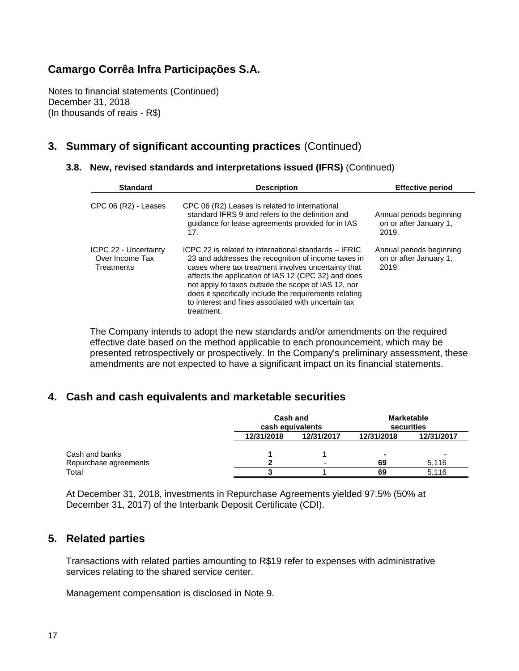Notes to financial statements (Continued) December 31, 2018 (In thousands of reais - R\$)

## **3. Summary of significant accounting practices** (Continued)

#### **3.8. New, revised standards and interpretations issued (IFRS)** (Continued)

| <b>Standard</b>                                        | <b>Description</b>                                                                                                                                                                                                                                                                                                                                                                                                   | <b>Effective period</b>                                     |
|--------------------------------------------------------|----------------------------------------------------------------------------------------------------------------------------------------------------------------------------------------------------------------------------------------------------------------------------------------------------------------------------------------------------------------------------------------------------------------------|-------------------------------------------------------------|
| CPC 06 (R2) - Leases                                   | CPC 06 (R2) Leases is related to international<br>standard IFRS 9 and refers to the definition and<br>guidance for lease agreements provided for in IAS<br>17.                                                                                                                                                                                                                                                       | Annual periods beginning<br>on or after January 1,<br>2019. |
| ICPC 22 - Uncertainty<br>Over Income Tax<br>Treatments | $ICPC$ 22 is related to international standards $-$ IFRIC<br>23 and addresses the recognition of income taxes in<br>cases where tax treatment involves uncertainty that<br>affects the application of IAS 12 (CPC 32) and does<br>not apply to taxes outside the scope of IAS 12, nor<br>does it specifically include the requirements relating<br>to interest and fines associated with uncertain tax<br>treatment. | Annual periods beginning<br>on or after January 1,<br>2019. |

The Company intends to adopt the new standards and/or amendments on the required effective date based on the method applicable to each pronouncement, which may be presented retrospectively or prospectively. In the Company's preliminary assessment, these amendments are not expected to have a significant impact on its financial statements.

### **4. Cash and cash equivalents and marketable securities**

|                       | <b>Cash and</b><br>cash equivalents |            |            | <b>Marketable</b><br>securities |
|-----------------------|-------------------------------------|------------|------------|---------------------------------|
|                       | 12/31/2018                          | 12/31/2017 | 12/31/2018 | 12/31/2017                      |
| Cash and banks        |                                     |            |            |                                 |
| Repurchase agreements |                                     |            | 69         | 5,116                           |
| Total                 |                                     |            | 69         | 5.116                           |

At December 31, 2018, investments in Repurchase Agreements yielded 97.5% (50% at December 31, 2017) of the Interbank Deposit Certificate (CDI).

### **5. Related parties**

Transactions with related parties amounting to R\$19 refer to expenses with administrative services relating to the shared service center.

Management compensation is disclosed in Note 9.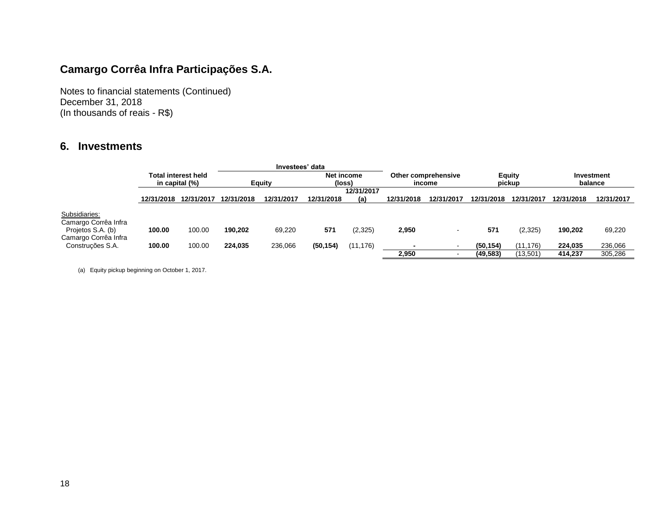Notes to financial statements (Continued) December 31, 2018 (In thousands of reais - R\$)

### **6. Investments**

|                      |            |                     |            | Investees' data |            |            |            |                     |            |               |            |            |
|----------------------|------------|---------------------|------------|-----------------|------------|------------|------------|---------------------|------------|---------------|------------|------------|
|                      |            | Total interest held |            |                 |            | Net income |            | Other comprehensive |            | <b>Equity</b> |            | Investment |
|                      |            | in capital (%)      |            | Equity          |            | (loss)     |            | income              |            | pickup        |            | balance    |
|                      |            |                     |            |                 |            | 12/31/2017 |            |                     |            |               |            |            |
|                      | 12/31/2018 | 12/31/2017          | 12/31/2018 | 12/31/2017      | 12/31/2018 | (a)        | 12/31/2018 | 12/31/2017          | 12/31/2018 | 12/31/2017    | 12/31/2018 | 12/31/2017 |
|                      |            |                     |            |                 |            |            |            |                     |            |               |            |            |
| Subsidiaries:        |            |                     |            |                 |            |            |            |                     |            |               |            |            |
| Camargo Corrêa Infra |            |                     |            |                 |            |            |            |                     |            |               |            |            |
| Projetos S.A. (b)    | 100.00     | 100.00              | 190,202    | 69.220          | 571        | (2,325)    | 2,950      | $\,$ $\,$           | 571        | (2, 325)      | 190.202    | 69,220     |
| Camargo Corrêa Infra |            |                     |            |                 |            |            |            |                     |            |               |            |            |
| Construções S.A.     | 100.00     | 100.00              | 224,035    | 236,066         | (50, 154)  | (11, 176)  |            |                     | (50, 154)  | (11.176)      | 224.035    | 236,066    |
|                      |            |                     |            |                 |            |            | 2,950      |                     | (49, 583)  | (13,501)      | 414.237    | 305,286    |

(a) Equity pickup beginning on October 1, 2017.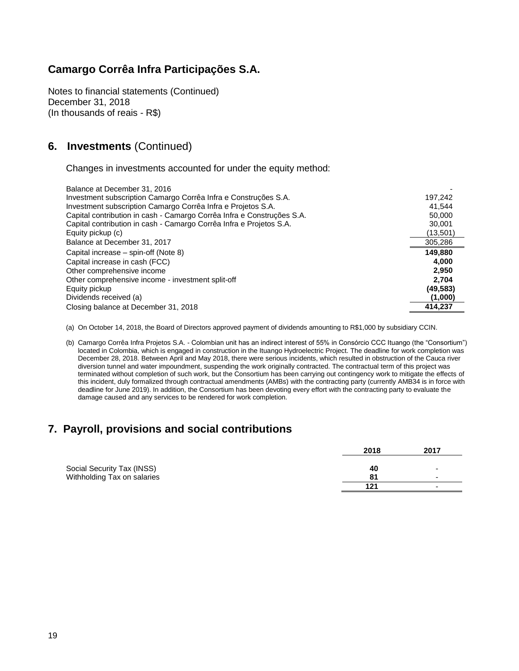Notes to financial statements (Continued) December 31, 2018 (In thousands of reais - R\$)

### **6. Investments** (Continued)

Changes in investments accounted for under the equity method:

| Balance at December 31, 2016                                           |           |
|------------------------------------------------------------------------|-----------|
| Investment subscription Camargo Corrêa Infra e Construções S.A.        | 197.242   |
| Investment subscription Camargo Corrêa Infra e Projetos S.A.           | 41.544    |
| Capital contribution in cash - Camargo Corrêa Infra e Construções S.A. | 50,000    |
| Capital contribution in cash - Camargo Corrêa Infra e Projetos S.A.    | 30,001    |
| Equity pickup (c)                                                      | (13,501)  |
| Balance at December 31, 2017                                           | 305,286   |
|                                                                        |           |
| Capital increase – spin-off (Note 8)                                   | 149.880   |
| Capital increase in cash (FCC)                                         | 4.000     |
| Other comprehensive income                                             | 2.950     |
| Other comprehensive income - investment split-off                      | 2.704     |
| Equity pickup                                                          | (49, 583) |
| Dividends received (a)                                                 | (1,000)   |

(a) On October 14, 2018, the Board of Directors approved payment of dividends amounting to R\$1,000 by subsidiary CCIN.

(b) Camargo Corrêa Infra Projetos S.A. - Colombian unit has an indirect interest of 55% in Consórcio CCC Ituango (the "Consortium") located in Colombia, which is engaged in construction in the Ituango Hydroelectric Project. The deadline for work completion was December 28, 2018. Between April and May 2018, there were serious incidents, which resulted in obstruction of the Cauca river diversion tunnel and water impoundment, suspending the work originally contracted. The contractual term of this project was terminated without completion of such work, but the Consortium has been carrying out contingency work to mitigate the effects of this incident, duly formalized through contractual amendments (AMBs) with the contracting party (currently AMB34 is in force with deadline for June 2019). In addition, the Consortium has been devoting every effort with the contracting party to evaluate the damage caused and any services to be rendered for work completion.

## **7. Payroll, provisions and social contributions**

|                             | 2018 | 2017                     |
|-----------------------------|------|--------------------------|
|                             |      |                          |
| Social Security Tax (INSS)  | 40   | $\overline{\phantom{0}}$ |
| Withholding Tax on salaries | 81   | $\overline{\phantom{0}}$ |
|                             | 121  | $\overline{\phantom{0}}$ |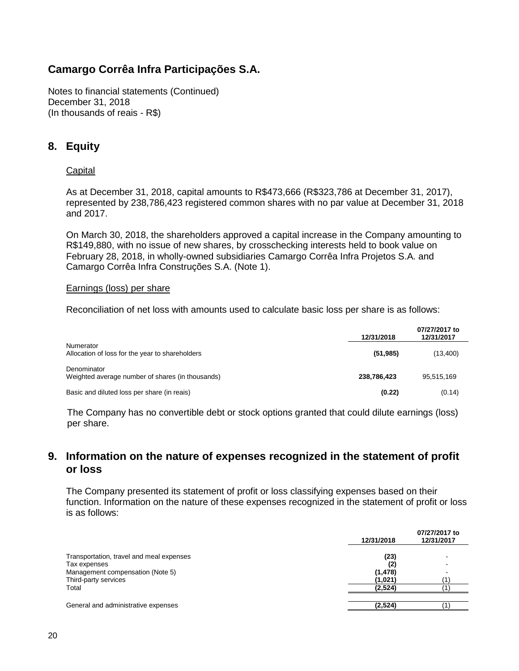Notes to financial statements (Continued) December 31, 2018 (In thousands of reais - R\$)

### **8. Equity**

#### **Capital**

As at December 31, 2018, capital amounts to R\$473,666 (R\$323,786 at December 31, 2017), represented by 238,786,423 registered common shares with no par value at December 31, 2018 and 2017.

On March 30, 2018, the shareholders approved a capital increase in the Company amounting to R\$149,880, with no issue of new shares, by crosschecking interests held to book value on February 28, 2018, in wholly-owned subsidiaries Camargo Corrêa Infra Projetos S.A. and Camargo Corrêa Infra Construções S.A. (Note 1).

#### Earnings (loss) per share

Reconciliation of net loss with amounts used to calculate basic loss per share is as follows:

|                                                                 | 12/31/2018  | 07/27/2017 to<br>12/31/2017 |
|-----------------------------------------------------------------|-------------|-----------------------------|
| Numerator<br>Allocation of loss for the year to shareholders    | (51, 985)   | (13, 400)                   |
| Denominator<br>Weighted average number of shares (in thousands) | 238,786,423 | 95.515.169                  |
| Basic and diluted loss per share (in reais)                     | (0.22)      | (0.14)                      |

The Company has no convertible debt or stock options granted that could dilute earnings (loss) per share.

### **9. Information on the nature of expenses recognized in the statement of profit or loss**

The Company presented its statement of profit or loss classifying expenses based on their function. Information on the nature of these expenses recognized in the statement of profit or loss is as follows:

|                                          | 12/31/2018  | 07/27/2017 to<br>12/31/2017 |
|------------------------------------------|-------------|-----------------------------|
| Transportation, travel and meal expenses |             |                             |
| Tax expenses                             | (23)<br>(2) |                             |
| Management compensation (Note 5)         | (1, 478)    |                             |
| Third-party services                     | (1.021)     |                             |
| Total                                    | (2,524)     |                             |
| General and administrative expenses      | (2,524)     |                             |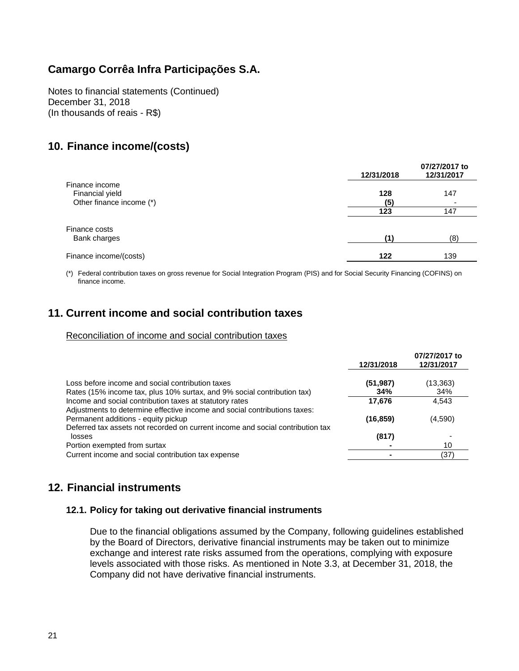Notes to financial statements (Continued) December 31, 2018 (In thousands of reais - R\$)

## **10. Finance income/(costs)**

|                          | 12/31/2018 | 07/27/2017 to<br>12/31/2017 |
|--------------------------|------------|-----------------------------|
| Finance income           |            |                             |
| Financial yield          | 128        | 147                         |
| Other finance income (*) | (5)        |                             |
|                          | 123        | 147                         |
| Finance costs            |            |                             |
| Bank charges             | (1)        | (8)                         |
| Finance income/(costs)   | 122        | 139                         |

(\*) Federal contribution taxes on gross revenue for Social Integration Program (PIS) and for Social Security Financing (COFINS) on finance income.

## **11. Current income and social contribution taxes**

#### Reconciliation of income and social contribution taxes

|                                                                                | 12/31/2018 | 07/27/2017 to<br>12/31/2017 |
|--------------------------------------------------------------------------------|------------|-----------------------------|
| Loss before income and social contribution taxes                               | (51, 987)  | (13, 363)                   |
| Rates (15% income tax, plus 10% surtax, and 9% social contribution tax)        | 34%        | 34%                         |
| Income and social contribution taxes at statutory rates                        | 17.676     | 4.543                       |
| Adjustments to determine effective income and social contributions taxes:      |            |                             |
| Permanent additions - equity pickup                                            | (16, 859)  | (4,590)                     |
| Deferred tax assets not recorded on current income and social contribution tax |            |                             |
| losses                                                                         | (817)      |                             |
| Portion exempted from surtax                                                   |            | 10                          |
| Current income and social contribution tax expense                             |            | (37)                        |
|                                                                                |            |                             |

### **12. Financial instruments**

#### **12.1. Policy for taking out derivative financial instruments**

Due to the financial obligations assumed by the Company, following guidelines established by the Board of Directors, derivative financial instruments may be taken out to minimize exchange and interest rate risks assumed from the operations, complying with exposure levels associated with those risks. As mentioned in Note 3.3, at December 31, 2018, the Company did not have derivative financial instruments.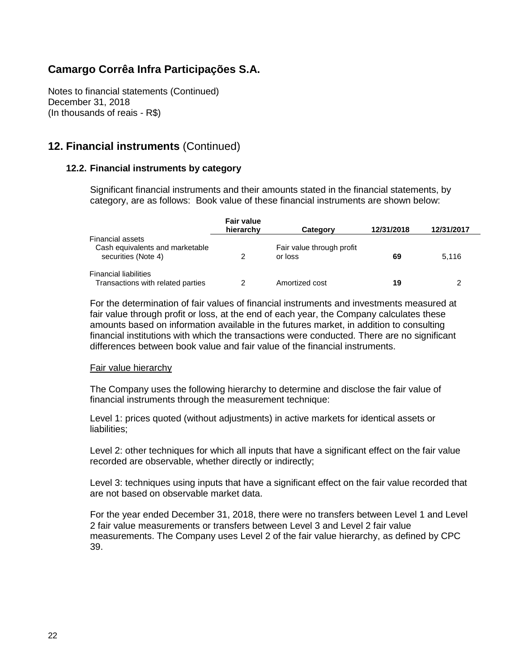Notes to financial statements (Continued) December 31, 2018 (In thousands of reais - R\$)

### **12. Financial instruments** (Continued)

#### **12.2. Financial instruments by category**

Significant financial instruments and their amounts stated in the financial statements, by category, are as follows: Book value of these financial instruments are shown below:

|                                                                   | <b>Fair value</b><br>hierarchy | Category                             | 12/31/2018 | 12/31/2017 |
|-------------------------------------------------------------------|--------------------------------|--------------------------------------|------------|------------|
| Financial assets                                                  |                                |                                      |            |            |
| Cash equivalents and marketable<br>securities (Note 4)            |                                | Fair value through profit<br>or loss | 69         | 5.116      |
| <b>Financial liabilities</b><br>Transactions with related parties |                                | Amortized cost                       | 19         |            |

For the determination of fair values of financial instruments and investments measured at fair value through profit or loss, at the end of each year, the Company calculates these amounts based on information available in the futures market, in addition to consulting financial institutions with which the transactions were conducted. There are no significant differences between book value and fair value of the financial instruments.

#### Fair value hierarchy

The Company uses the following hierarchy to determine and disclose the fair value of financial instruments through the measurement technique:

Level 1: prices quoted (without adjustments) in active markets for identical assets or liabilities;

Level 2: other techniques for which all inputs that have a significant effect on the fair value recorded are observable, whether directly or indirectly;

Level 3: techniques using inputs that have a significant effect on the fair value recorded that are not based on observable market data.

For the year ended December 31, 2018, there were no transfers between Level 1 and Level 2 fair value measurements or transfers between Level 3 and Level 2 fair value measurements. The Company uses Level 2 of the fair value hierarchy, as defined by CPC 39.